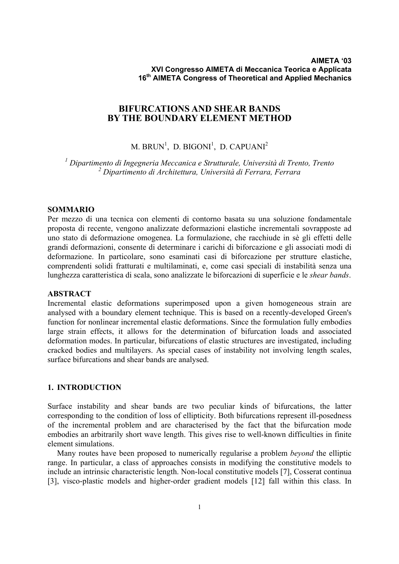# **BIFURCATIONS AND SHEAR BANDS BY THE BOUNDARY ELEMENT METHOD**

M. BRUN $^1$ , D. BIGONI $^1$ , D. CAPUANI $^2$ 

*1 Dipartimento di Ingegneria Meccanica e Strutturale, Università di Trento, Trento 2 Dipartimento di Architettura, Università di Ferrara, Ferrara*

## **SOMMARIO**

Per mezzo di una tecnica con elementi di contorno basata su una soluzione fondamentale proposta di recente, vengono analizzate deformazioni elastiche incrementali sovrapposte ad uno stato di deformazione omogenea. La formulazione, che racchiude in sè gli effetti delle grandi deformazioni, consente di determinare i carichi di biforcazione e gli associati modi di deformazione. In particolare, sono esaminati casi di biforcazione per strutture elastiche, comprendenti solidi fratturati e multilaminati, e, come casi speciali di instabilità senza una lunghezza caratteristica di scala, sono analizzate le biforcazioni di superficie e le *shear bands*.

## **ABSTRACT**

Incremental elastic deformations superimposed upon a given homogeneous strain are analysed with a boundary element technique. This is based on a recently-developed Green's function for nonlinear incremental elastic deformations. Since the formulation fully embodies large strain effects, it allows for the determination of bifurcation loads and associated deformation modes. In particular, bifurcations of elastic structures are investigated, including cracked bodies and multilayers. As special cases of instability not involving length scales, surface bifurcations and shear bands are analysed.

### **1. INTRODUCTION**

Surface instability and shear bands are two peculiar kinds of bifurcations, the latter corresponding to the condition of loss of ellipticity. Both bifurcations represent ill-posedness of the incremental problem and are characterised by the fact that the bifurcation mode embodies an arbitrarily short wave length. This gives rise to well-known difficulties in finite element simulations.

Many routes have been proposed to numerically regularise a problem *beyond* the elliptic range. In particular, a class of approaches consists in modifying the constitutive models to include an intrinsic characteristic length. Non-local constitutive models [7], Cosserat continua [3], visco-plastic models and higher-order gradient models [12] fall within this class. In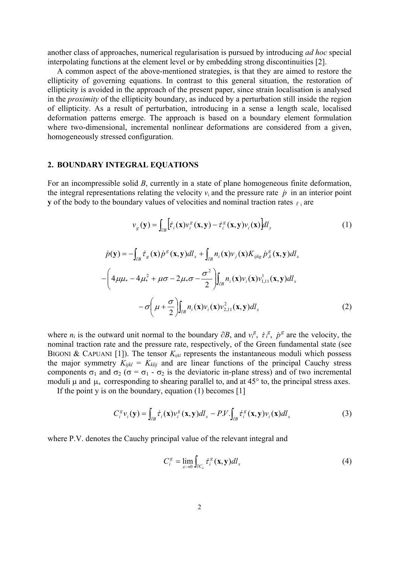another class of approaches, numerical regularisation is pursued by introducing *ad hoc* special interpolating functions at the element level or by embedding strong discontinuities [2].

A common aspect of the above-mentioned strategies, is that they are aimed to restore the ellipticity of governing equations. In contrast to this general situation, the restoration of ellipticity is avoided in the approach of the present paper, since strain localisation is analysed in the *proximity* of the ellipticity boundary, as induced by a perturbation still inside the region of ellipticity. As a result of perturbation, introducing in a sense a length scale, localised deformation patterns emerge. The approach is based on a boundary element formulation where two-dimensional, incremental nonlinear deformations are considered from a given, homogeneously stressed configuration.

# **2. BOUNDARY INTEGRAL EQUATIONS**

For an incompressible solid *B*, currently in a state of plane homogeneous finite deformation, the integral representations relating the velocity  $v_i$  and the pressure rate  $\dot{p}$  in an interior point **y** of the body to the boundary values of velocities and nominal traction rates  $\tau_i$  are

$$
v_g(\mathbf{y}) = \int_{\partial B} \left[ \dot{\tau}_i(\mathbf{x}) v_i^g(\mathbf{x}, \mathbf{y}) - \dot{\tau}_i^g(\mathbf{x}, \mathbf{y}) v_i(\mathbf{x}) \right] dl_x \tag{1}
$$

$$
\dot{p}(\mathbf{y}) = -\int_{\partial B} \dot{\tau}_g(\mathbf{x}) \dot{p}^s(\mathbf{x}, \mathbf{y}) dl_x + \int_{\partial B} n_i(\mathbf{x}) \nu_j(\mathbf{x}) K_{ijkg} \dot{p}^s_{,k}(\mathbf{x}, \mathbf{y}) dl_x -\left(4\mu\mu_* - 4\mu_*^2 + \mu\sigma - 2\mu_*\sigma - \frac{\sigma^2}{2}\right) \int_{\partial B} n_i(\mathbf{x}) \nu_i(\mathbf{x}) \nu_{1,11}^1(\mathbf{x}, \mathbf{y}) dl_x -\sigma \left(\mu + \frac{\sigma}{2}\right) \int_{\partial B} n_i(\mathbf{x}) \nu_i(\mathbf{x}) \nu_{2,11}^2(\mathbf{x}, \mathbf{y}) dl_x
$$
\n(2)

where  $n_i$  is the outward unit normal to the boundary  $\partial B$ , and  $v_i^g$ ,  $\dot{\tau}_i^g$ ,  $\dot{p}^g$  are the velocity, the nominal traction rate and the pressure rate, respectively, of the Green fundamental state (see BIGONI & CAPUANI [1]). The tensor  $K_{ijkl}$  represents the instantaneous moduli which possess the major symmetry  $K_{ijkl} = K_{klij}$  and are linear functions of the principal Cauchy stress components  $\sigma_1$  and  $\sigma_2$  ( $\sigma = \sigma_1 - \sigma_2$  is the deviatoric in-plane stress) and of two incremental moduli  $\mu$  and  $\mu_*$  corresponding to shearing parallel to, and at 45 $\degree$  to, the principal stress axes.

If the point y is on the boundary, equation (1) becomes [1]

$$
C_i^s v_i(\mathbf{y}) = \int_{\partial B} \dot{\tau}_i(\mathbf{x}) v_i^s(\mathbf{x}, \mathbf{y}) dl_x - P.V. \int_{\partial B} \dot{\tau}_i^s(\mathbf{x}, \mathbf{y}) v_i(\mathbf{x}) dl_x \tag{3}
$$

where P.V. denotes the Cauchy principal value of the relevant integral and

$$
C_i^g = \lim_{\varepsilon \to 0} \int_{\partial C_{\varepsilon}} \dot{\tau}_i^g(\mathbf{x}, \mathbf{y}) d l_x \tag{4}
$$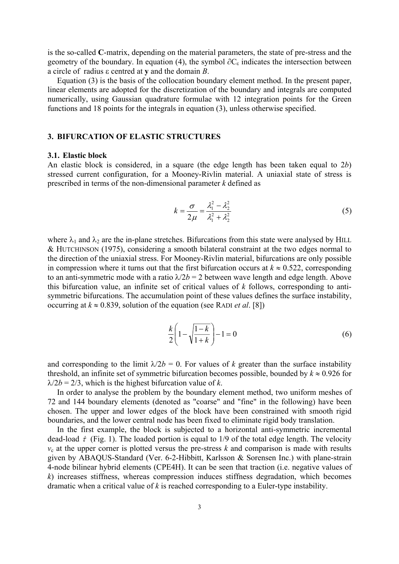is the so-called **C**-matrix, depending on the material parameters, the state of pre-stress and the geometry of the boundary. In equation (4), the symbol  $\partial C_{\varepsilon}$  indicates the intersection between a circle of radius ε centred at **y** and the domain *B*.

Equation (3) is the basis of the collocation boundary element method. In the present paper, linear elements are adopted for the discretization of the boundary and integrals are computed numerically, using Gaussian quadrature formulae with 12 integration points for the Green functions and 18 points for the integrals in equation (3), unless otherwise specified.

## **3. BIFURCATION OF ELASTIC STRUCTURES**

#### **3.1. Elastic block**

An elastic block is considered, in a square (the edge length has been taken equal to 2*b*) stressed current configuration, for a Mooney-Rivlin material. A uniaxial state of stress is prescribed in terms of the non-dimensional parameter *k* defined as

$$
k = \frac{\sigma}{2\mu} = \frac{\lambda_1^2 - \lambda_2^2}{\lambda_1^2 + \lambda_2^2}
$$
 (5)

where  $\lambda_1$  and  $\lambda_2$  are the in-plane stretches. Bifurcations from this state were analysed by HILL & HUTCHINSON (1975), considering a smooth bilateral constraint at the two edges normal to the direction of the uniaxial stress. For Mooney-Rivlin material, bifurcations are only possible in compression where it turns out that the first bifurcation occurs at  $k \approx 0.522$ , corresponding to an anti-symmetric mode with a ratio  $\lambda/2b = 2$  between wave length and edge length. Above this bifurcation value, an infinite set of critical values of *k* follows, corresponding to antisymmetric bifurcations. The accumulation point of these values defines the surface instability, occurring at  $k \approx 0.839$ , solution of the equation (see RADI *et al.* [8])

$$
\frac{k}{2} \left( 1 - \sqrt{\frac{1-k}{1+k}} \right) - 1 = 0
$$
\n(6)

and corresponding to the limit  $\lambda/2b = 0$ . For values of *k* greater than the surface instability threshold, an infinite set of symmetric bifurcation becomes possible, bounded by  $k \approx 0.926$  for  $\lambda/2b = 2/3$ , which is the highest bifurcation value of *k*.

In order to analyse the problem by the boundary element method, two uniform meshes of 72 and 144 boundary elements (denoted as "coarse" and "fine" in the following) have been chosen. The upper and lower edges of the block have been constrained with smooth rigid boundaries, and the lower central node has been fixed to eliminate rigid body translation.

In the first example, the block is subjected to a horizontal anti-symmetric incremental dead-load  $\dot{\tau}$  (Fig. 1). The loaded portion is equal to 1/9 of the total edge length. The velocity  $v_c$  at the upper corner is plotted versus the pre-stress  $k$  and comparison is made with results given by ABAQUS-Standard (Ver. 6-2-Hibbitt, Karlsson & Sorensen Inc.) with plane-strain 4-node bilinear hybrid elements (CPE4H). It can be seen that traction (i.e. negative values of *k*) increases stiffness, whereas compression induces stiffness degradation, which becomes dramatic when a critical value of *k* is reached corresponding to a Euler-type instability.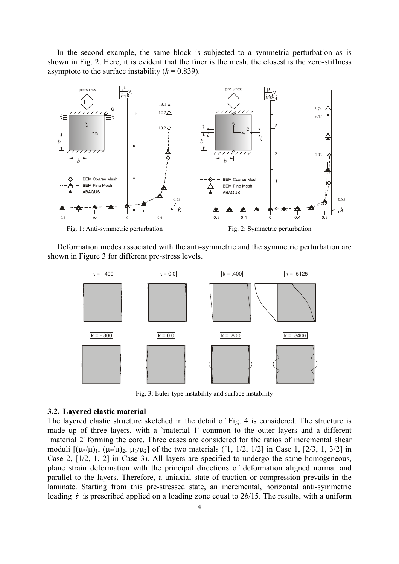In the second example, the same block is subjected to a symmetric perturbation as is shown in Fig. 2. Here, it is evident that the finer is the mesh, the closest is the zero-stiffness asymptote to the surface instability  $(k = 0.839)$ .



Deformation modes associated with the anti-symmetric and the symmetric perturbation are shown in Figure 3 for different pre-stress levels.



Fig. 3: Euler-type instability and surface instability

#### **3.2. Layered elastic material**

The layered elastic structure sketched in the detail of Fig. 4 is considered. The structure is made up of three layers, with a `material 1' common to the outer layers and a different `material 2' forming the core. Three cases are considered for the ratios of incremental shear moduli  $[(\mu*/\mu)_1, (\mu*/\mu)_2, \mu_1/\mu_2]$  of the two materials ([1, 1/2, 1/2] in Case 1, [2/3, 1, 3/2] in Case 2, [1/2, 1, 2] in Case 3). All layers are specified to undergo the same homogeneous, plane strain deformation with the principal directions of deformation aligned normal and parallel to the layers. Therefore, a uniaxial state of traction or compression prevails in the laminate. Starting from this pre-stressed state, an incremental, horizontal anti-symmetric loading  $\dot{\tau}$  is prescribed applied on a loading zone equal to 2*b*/15. The results, with a uniform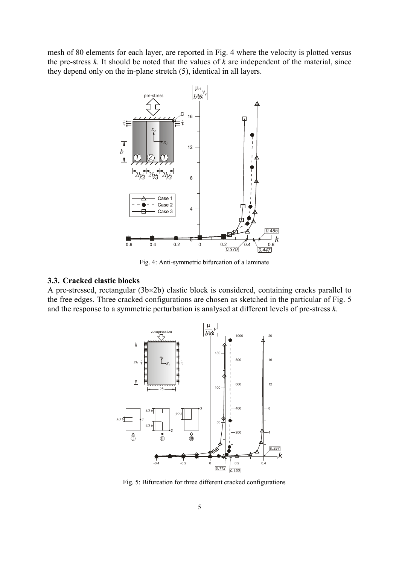mesh of 80 elements for each layer, are reported in Fig. 4 where the velocity is plotted versus the pre-stress *k*. It should be noted that the values of *k* are independent of the material, since they depend only on the in-plane stretch (5), identical in all layers.



Fig. 4: Anti-symmetric bifurcation of a laminate

### **3.3. Cracked elastic blocks**

A pre-stressed, rectangular (3b×2b) elastic block is considered, containing cracks parallel to the free edges. Three cracked configurations are chosen as sketched in the particular of Fig. 5 and the response to a symmetric perturbation is analysed at different levels of pre-stress *k*.



Fig. 5: Bifurcation for three different cracked configurations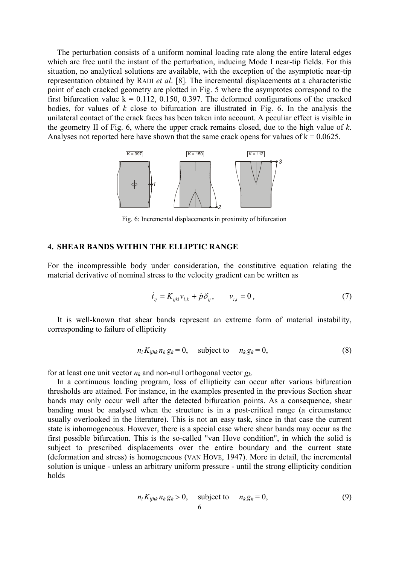The perturbation consists of a uniform nominal loading rate along the entire lateral edges which are free until the instant of the perturbation, inducing Mode I near-tip fields. For this situation, no analytical solutions are available, with the exception of the asymptotic near-tip representation obtained by RADI *et al*. [8]. The incremental displacements at a characteristic point of each cracked geometry are plotted in Fig. 5 where the asymptotes correspond to the first bifurcation value  $k = 0.112, 0.150, 0.397$ . The deformed configurations of the cracked bodies, for values of *k* close to bifurcation are illustrated in Fig. 6. In the analysis the unilateral contact of the crack faces has been taken into account. A peculiar effect is visible in the geometry II of Fig. 6, where the upper crack remains closed, due to the high value of *k*. Analyses not reported here have shown that the same crack opens for values of  $k = 0.0625$ .



Fig. 6: Incremental displacements in proximity of bifurcation

## **4. SHEAR BANDS WITHIN THE ELLIPTIC RANGE**

For the incompressible body under consideration, the constitutive equation relating the material derivative of nominal stress to the velocity gradient can be written as

$$
\dot{t}_{ij} = K_{ijkl} v_{l,k} + \dot{p} \delta_{ij}, \qquad v_{i,i} = 0, \qquad (7)
$$

It is well-known that shear bands represent an extreme form of material instability, corresponding to failure of ellipticity

$$
n_i K_{ijhk} n_h g_k = 0, \quad \text{subject to} \quad n_k g_k = 0,
$$
\n<sup>(8)</sup>

for at least one unit vector  $n_k$  and non-null orthogonal vector  $g_k$ .

In a continuous loading program, loss of ellipticity can occur after various bifurcation thresholds are attained. For instance, in the examples presented in the previous Section shear bands may only occur well after the detected bifurcation points. As a consequence, shear banding must be analysed when the structure is in a post-critical range (a circumstance usually overlooked in the literature). This is not an easy task, since in that case the current state is inhomogeneous. However, there is a special case where shear bands may occur as the first possible bifurcation. This is the so-called "van Hove condition", in which the solid is subject to prescribed displacements over the entire boundary and the current state (deformation and stress) is homogeneous (VAN HOVE, 1947). More in detail, the incremental solution is unique - unless an arbitrary uniform pressure - until the strong ellipticity condition holds

$$
n_i K_{ijhk} n_h g_k > 0, \quad \text{subject to} \quad n_k g_k = 0,
$$
\n<sup>(9)</sup>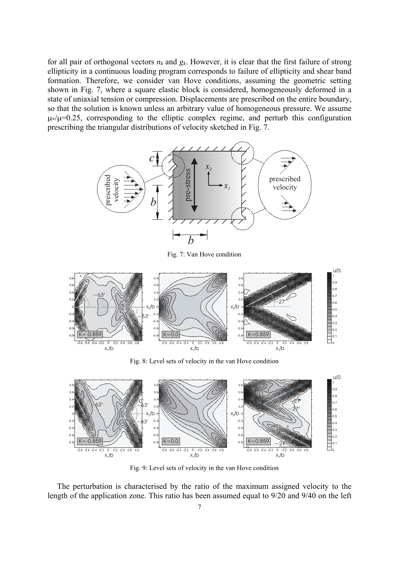for all pair of orthogonal vectors  $n_k$  and  $g_k$ . However, it is clear that the first failure of strong ellipticity in a continuous loading program corresponds to failure of ellipticity and shear band formation. Therefore, we consider van Hove conditions, assuming the geometric setting shown in Fig. 7, where a square elastic block is considered, homogeneously deformed in a state of uniaxial tension or compression. Displacements are prescribed on the entire boundary, so that the solution is known unless an arbitrary value of homogeneous pressure. We assume  $\mu$ <sup>\*</sup>/ $\mu$ =0.25, corresponding to the elliptic complex regime, and perturb this configuration prescribing the triangular distributions of velocity sketched in Fig. 7.



Fig. 7: Van Hove condition



Fig. 8: Level sets of velocity in the van Hove condition



Fig. 9: Level sets of velocity in the van Hove condition

The perturbation is characterised by the ratio of the maximum assigned velocity to the length of the application zone. This ratio has been assumed equal to 9/20 and 9/40 on the left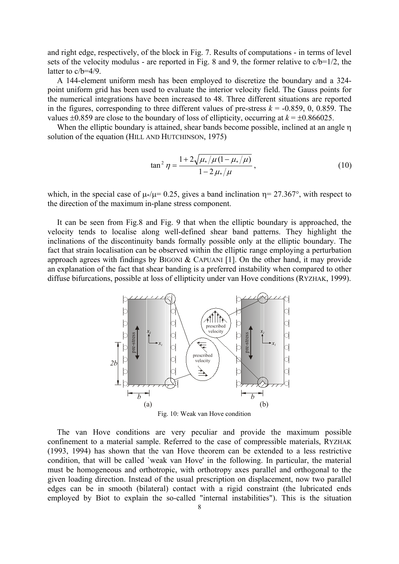and right edge, respectively, of the block in Fig. 7. Results of computations - in terms of level sets of the velocity modulus - are reported in Fig. 8 and 9, the former relative to  $c/b=1/2$ , the latter to c/b=4/9.

A 144-element uniform mesh has been employed to discretize the boundary and a 324 point uniform grid has been used to evaluate the interior velocity field. The Gauss points for the numerical integrations have been increased to 48. Three different situations are reported in the figures, corresponding to three different values of pre-stress  $k = -0.859, 0, 0.859$ . The values  $\pm 0.859$  are close to the boundary of loss of ellipticity, occurring at  $k = \pm 0.866025$ .

When the elliptic boundary is attained, shear bands become possible, inclined at an angle η solution of the equation (HILL AND HUTCHINSON, 1975)

$$
\tan^2 \eta = \frac{1 + 2\sqrt{\mu_*/\mu (1 - \mu_*/\mu)}}{1 - 2\,\mu_*/\mu},\tag{10}
$$

which, in the special case of  $\mu$  $/\mu$ = 0.25, gives a band inclination  $\eta$ = 27.367°, with respect to the direction of the maximum in-plane stress component.

It can be seen from Fig.8 and Fig. 9 that when the elliptic boundary is approached, the velocity tends to localise along well-defined shear band patterns. They highlight the inclinations of the discontinuity bands formally possible only at the elliptic boundary. The fact that strain localisation can be observed within the elliptic range employing a perturbation approach agrees with findings by BIGONI  $&$  CAPUANI [1]. On the other hand, it may provide an explanation of the fact that shear banding is a preferred instability when compared to other diffuse bifurcations, possible at loss of ellipticity under van Hove conditions (RYZHAK, 1999).



Fig. 10: Weak van Hove condition

The van Hove conditions are very peculiar and provide the maximum possible confinement to a material sample. Referred to the case of compressible materials, RYZHAK (1993, 1994) has shown that the van Hove theorem can be extended to a less restrictive condition, that will be called `weak van Hove' in the following. In particular, the material must be homogeneous and orthotropic, with orthotropy axes parallel and orthogonal to the given loading direction. Instead of the usual prescription on displacement, now two parallel edges can be in smooth (bilateral) contact with a rigid constraint (the lubricated ends employed by Biot to explain the so-called "internal instabilities"). This is the situation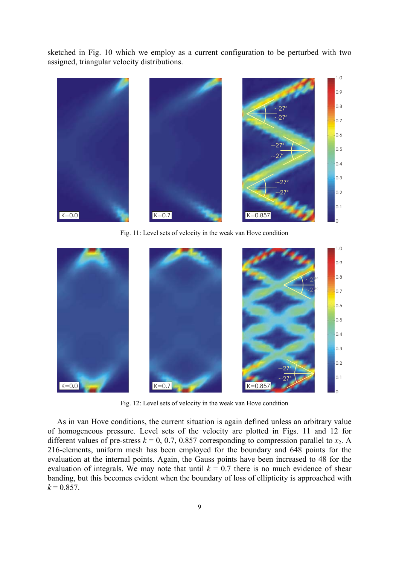sketched in Fig. 10 which we employ as a current configuration to be perturbed with two assigned, triangular velocity distributions.



Fig. 11: Level sets of velocity in the weak van Hove condition



Fig. 12: Level sets of velocity in the weak van Hove condition

As in van Hove conditions, the current situation is again defined unless an arbitrary value of homogeneous pressure. Level sets of the velocity are plotted in Figs. 11 and 12 for different values of pre-stress  $k = 0, 0.7, 0.857$  corresponding to compression parallel to  $x_2$ . A 216-elements, uniform mesh has been employed for the boundary and 648 points for the evaluation at the internal points. Again, the Gauss points have been increased to 48 for the evaluation of integrals. We may note that until  $k = 0.7$  there is no much evidence of shear banding, but this becomes evident when the boundary of loss of ellipticity is approached with  $k = 0.857$ .